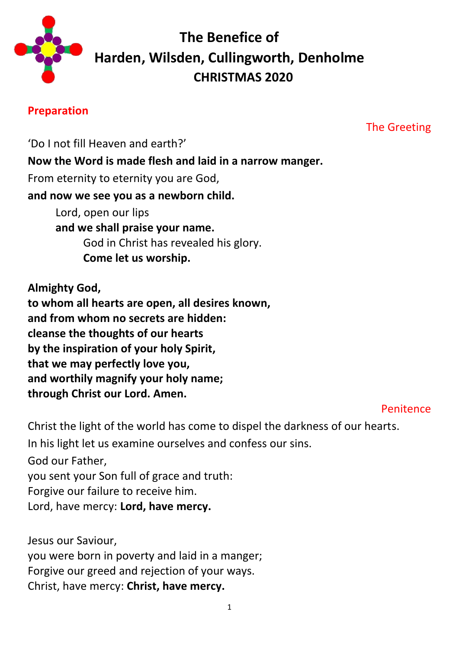

# **The Benefice of Harden, Wilsden, Cullingworth, Denholme CHRISTMAS 2020**

## **Preparation**

The Greeting

'Do I not fill Heaven and earth?' **Now the Word is made flesh and laid in a narrow manger.** From eternity to eternity you are God, **and now we see you as a newborn child.** Lord, open our lips **and we shall praise your name.**  God in Christ has revealed his glory. **Come let us worship.**

**Almighty God, to whom all hearts are open, all desires known, and from whom no secrets are hidden: cleanse the thoughts of our hearts by the inspiration of your holy Spirit, that we may perfectly love you, and worthily magnify your holy name; through Christ our Lord. Amen.**

#### Penitence

Christ the light of the world has come to dispel the darkness of our hearts. In his light let us examine ourselves and confess our sins.

God our Father, you sent your Son full of grace and truth: Forgive our failure to receive him. Lord, have mercy: **Lord, have mercy.**

Jesus our Saviour, you were born in poverty and laid in a manger; Forgive our greed and rejection of your ways. Christ, have mercy: **Christ, have mercy.**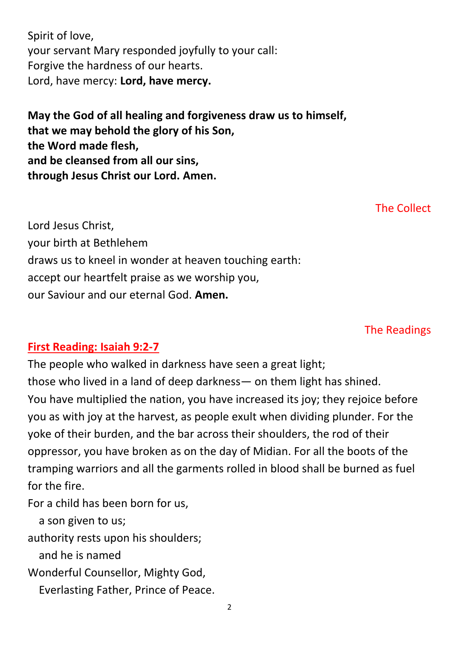Spirit of love, your servant Mary responded joyfully to your call: Forgive the hardness of our hearts. Lord, have mercy: **Lord, have mercy.**

**May the God of all healing and forgiveness draw us to himself, that we may behold the glory of his Son, the Word made flesh, and be cleansed from all our sins, through Jesus Christ our Lord. Amen.**

The Collect

Lord Jesus Christ, your birth at Bethlehem draws us to kneel in wonder at heaven touching earth: accept our heartfelt praise as we worship you, our Saviour and our eternal God. **Amen.**

The Readings

# **First Reading: Isaiah 9:2-7**

The people who walked in darkness have seen a great light; those who lived in a land of deep darkness— on them light has shined. You have multiplied the nation, you have increased its joy; they rejoice before you as with joy at the harvest, as people exult when dividing plunder. For the yoke of their burden, and the bar across their shoulders, the rod of their oppressor, you have broken as on the day of Midian. For all the boots of the tramping warriors and all the garments rolled in blood shall be burned as fuel for the fire.

For a child has been born for us,

a son given to us;

authority rests upon his shoulders;

and he is named

Wonderful Counsellor, Mighty God,

Everlasting Father, Prince of Peace.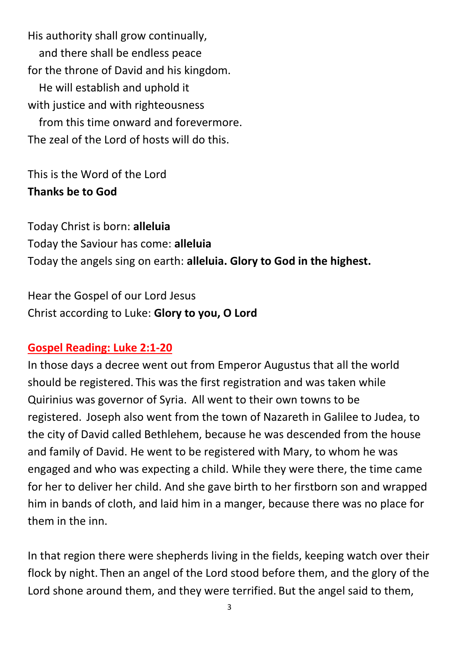His authority shall grow continually, and there shall be endless peace for the throne of David and his kingdom. He will establish and uphold it with justice and with righteousness from this time onward and forevermore. The zeal of the Lord of hosts will do this.

This is the Word of the Lord **Thanks be to God**

Today Christ is born: **alleluia** Today the Saviour has come: **alleluia** Today the angels sing on earth: **alleluia. Glory to God in the highest.**

Hear the Gospel of our Lord Jesus Christ according to Luke: **Glory to you, O Lord**

## **Gospel Reading: Luke 2:1-20**

In those days a decree went out from Emperor Augustus that all the world should be registered. This was the first registration and was taken while Quirinius was governor of Syria. All went to their own towns to be registered. Joseph also went from the town of Nazareth in Galilee to Judea, to the city of David called Bethlehem, because he was descended from the house and family of David. He went to be registered with Mary, to whom he was engaged and who was expecting a child. While they were there, the time came for her to deliver her child. And she gave birth to her firstborn son and wrapped him in bands of cloth, and laid him in a manger, because there was no place for them in the inn.

In that region there were shepherds living in the fields, keeping watch over their flock by night. Then an angel of the Lord stood before them, and the glory of the Lord shone around them, and they were terrified. But the angel said to them,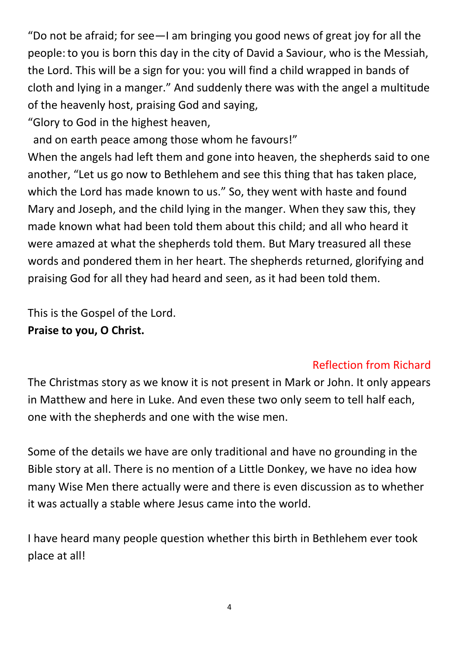"Do not be afraid; for see—I am bringing you good news of great joy for all the people:to you is born this day in the city of David a Saviour, who is the Messiah, the Lord. This will be a sign for you: you will find a child wrapped in bands of cloth and lying in a manger." And suddenly there was with the angel a multitude of the heavenly host, praising God and saying,

"Glory to God in the highest heaven,

and on earth peace among those whom he favours!"

When the angels had left them and gone into heaven, the shepherds said to one another, "Let us go now to Bethlehem and see this thing that has taken place, which the Lord has made known to us." So, they went with haste and found Mary and Joseph, and the child lying in the manger. When they saw this, they made known what had been told them about this child; and all who heard it were amazed at what the shepherds told them. But Mary treasured all these words and pondered them in her heart. The shepherds returned, glorifying and praising God for all they had heard and seen, as it had been told them.

This is the Gospel of the Lord. **Praise to you, O Christ.**

# Reflection from Richard

The Christmas story as we know it is not present in Mark or John. It only appears in Matthew and here in Luke. And even these two only seem to tell half each, one with the shepherds and one with the wise men.

Some of the details we have are only traditional and have no grounding in the Bible story at all. There is no mention of a Little Donkey, we have no idea how many Wise Men there actually were and there is even discussion as to whether it was actually a stable where Jesus came into the world.

I have heard many people question whether this birth in Bethlehem ever took place at all!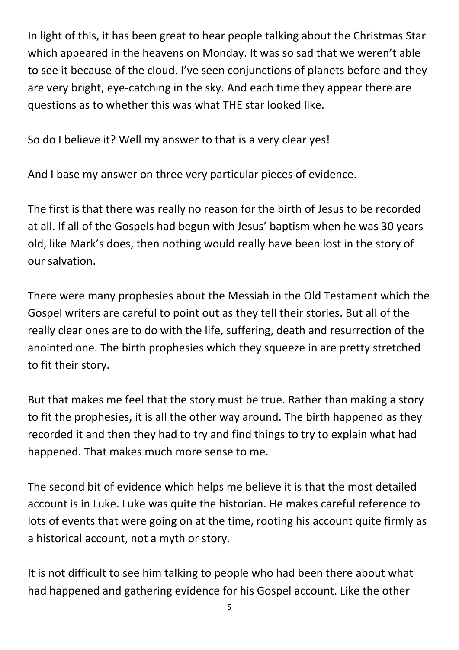In light of this, it has been great to hear people talking about the Christmas Star which appeared in the heavens on Monday. It was so sad that we weren't able to see it because of the cloud. I've seen conjunctions of planets before and they are very bright, eye-catching in the sky. And each time they appear there are questions as to whether this was what THE star looked like.

So do I believe it? Well my answer to that is a very clear yes!

And I base my answer on three very particular pieces of evidence.

The first is that there was really no reason for the birth of Jesus to be recorded at all. If all of the Gospels had begun with Jesus' baptism when he was 30 years old, like Mark's does, then nothing would really have been lost in the story of our salvation.

There were many prophesies about the Messiah in the Old Testament which the Gospel writers are careful to point out as they tell their stories. But all of the really clear ones are to do with the life, suffering, death and resurrection of the anointed one. The birth prophesies which they squeeze in are pretty stretched to fit their story.

But that makes me feel that the story must be true. Rather than making a story to fit the prophesies, it is all the other way around. The birth happened as they recorded it and then they had to try and find things to try to explain what had happened. That makes much more sense to me.

The second bit of evidence which helps me believe it is that the most detailed account is in Luke. Luke was quite the historian. He makes careful reference to lots of events that were going on at the time, rooting his account quite firmly as a historical account, not a myth or story.

It is not difficult to see him talking to people who had been there about what had happened and gathering evidence for his Gospel account. Like the other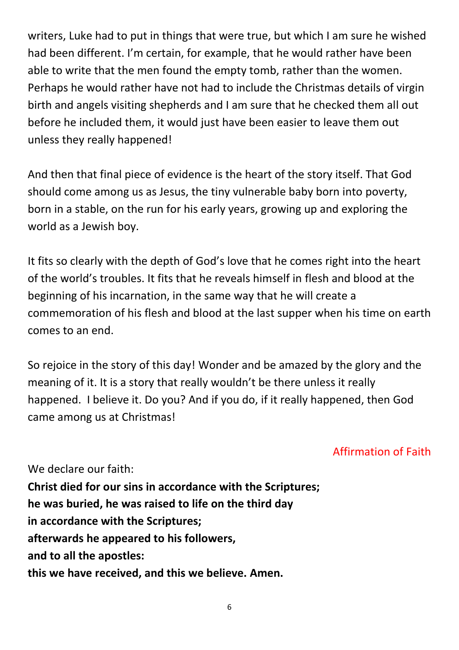writers, Luke had to put in things that were true, but which I am sure he wished had been different. I'm certain, for example, that he would rather have been able to write that the men found the empty tomb, rather than the women. Perhaps he would rather have not had to include the Christmas details of virgin birth and angels visiting shepherds and I am sure that he checked them all out before he included them, it would just have been easier to leave them out unless they really happened!

And then that final piece of evidence is the heart of the story itself. That God should come among us as Jesus, the tiny vulnerable baby born into poverty, born in a stable, on the run for his early years, growing up and exploring the world as a Jewish boy.

It fits so clearly with the depth of God's love that he comes right into the heart of the world's troubles. It fits that he reveals himself in flesh and blood at the beginning of his incarnation, in the same way that he will create a commemoration of his flesh and blood at the last supper when his time on earth comes to an end.

So rejoice in the story of this day! Wonder and be amazed by the glory and the meaning of it. It is a story that really wouldn't be there unless it really happened. I believe it. Do you? And if you do, if it really happened, then God came among us at Christmas!

# Affirmation of Faith

We declare our faith: **Christ died for our sins in accordance with the Scriptures; he was buried, he was raised to life on the third day in accordance with the Scriptures; afterwards he appeared to his followers, and to all the apostles: this we have received, and this we believe. Amen.**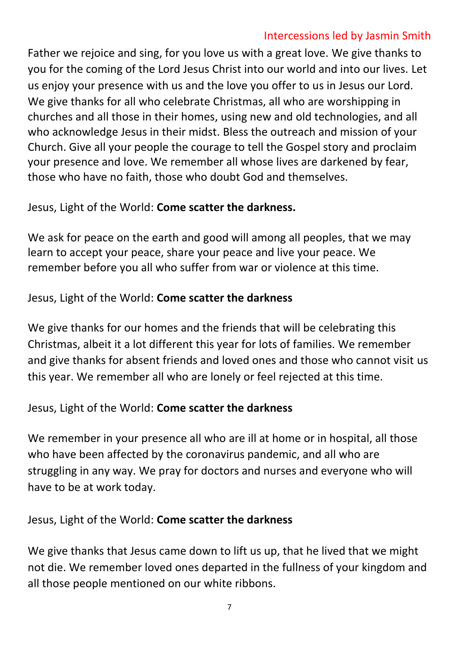# Intercessions led by Jasmin Smith

Father we rejoice and sing, for you love us with a great love. We give thanks to you for the coming of the Lord Jesus Christ into our world and into our lives. Let us enjoy your presence with us and the love you offer to us in Jesus our Lord. We give thanks for all who celebrate Christmas, all who are worshipping in churches and all those in their homes, using new and old technologies, and all who acknowledge Jesus in their midst. Bless the outreach and mission of your Church. Give all your people the courage to tell the Gospel story and proclaim your presence and love. We remember all whose lives are darkened by fear, those who have no faith, those who doubt God and themselves.

## Jesus, Light of the World: **Come scatter the darkness.**

We ask for peace on the earth and good will among all peoples, that we may learn to accept your peace, share your peace and live your peace. We remember before you all who suffer from war or violence at this time.

# Jesus, Light of the World: **Come scatter the darkness**

We give thanks for our homes and the friends that will be celebrating this Christmas, albeit it a lot different this year for lots of families. We remember and give thanks for absent friends and loved ones and those who cannot visit us this year. We remember all who are lonely or feel rejected at this time.

# Jesus, Light of the World: **Come scatter the darkness**

We remember in your presence all who are ill at home or in hospital, all those who have been affected by the coronavirus pandemic, and all who are struggling in any way. We pray for doctors and nurses and everyone who will have to be at work today.

Jesus, Light of the World: **Come scatter the darkness**

We give thanks that Jesus came down to lift us up, that he lived that we might not die. We remember loved ones departed in the fullness of your kingdom and all those people mentioned on our white ribbons.